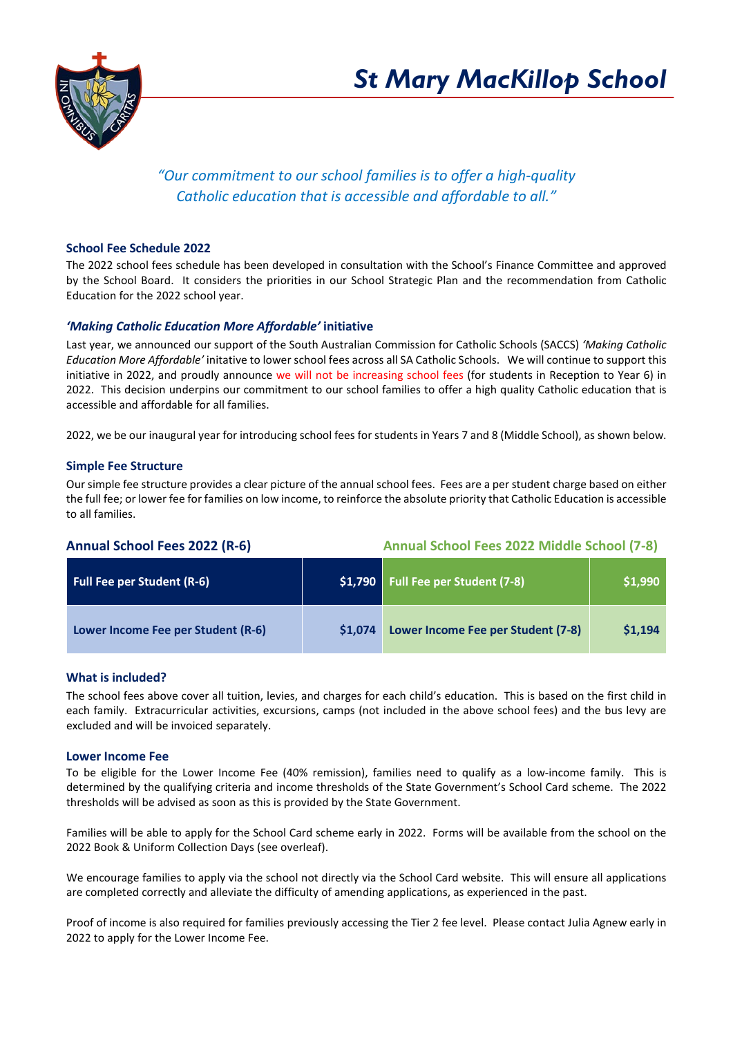

# *"Our commitment to our school families is to offer a high-quality Catholic education that is accessible and affordable to all."*

# **School Fee Schedule 2022**

The 2022 school fees schedule has been developed in consultation with the School's Finance Committee and approved by the School Board. It considers the priorities in our School Strategic Plan and the recommendation from Catholic Education for the 2022 school year.

## *'Making Catholic Education More Affordable'* **initiative**

Last year, we announced our support of the South Australian Commission for Catholic Schools (SACCS) *'Making Catholic Education More Affordable'* initative to lower school fees across all SA Catholic Schools. We will continue to support this initiative in 2022, and proudly announce we will not be increasing school fees (for students in Reception to Year 6) in 2022. This decision underpins our commitment to our school families to offer a high quality Catholic education that is accessible and affordable for all families.

2022, we be our inaugural year for introducing school fees for students in Years 7 and 8 (Middle School), as shown below.

#### **Simple Fee Structure**

Our simple fee structure provides a clear picture of the annual school fees. Fees are a per student charge based on either the full fee; or lower fee for families on low income, to reinforce the absolute priority that Catholic Education is accessible to all families.

**Annual School Fees 2022 (R-6) Annual School Fees 2022 Middle School (7-8)**

| <b>Full Fee per Student (R-6)</b>  | \$1,790 | <b>Full Fee per Student (7-8)</b>  | \$1,990 |
|------------------------------------|---------|------------------------------------|---------|
| Lower Income Fee per Student (R-6) | \$1,074 | Lower Income Fee per Student (7-8) | \$1,194 |

#### **What is included?**

The school fees above cover all tuition, levies, and charges for each child's education. This is based on the first child in each family. Extracurricular activities, excursions, camps (not included in the above school fees) and the bus levy are excluded and will be invoiced separately.

#### **Lower Income Fee**

To be eligible for the Lower Income Fee (40% remission), families need to qualify as a low-income family. This is determined by the qualifying criteria and income thresholds of the State Government's School Card scheme. The 2022 thresholds will be advised as soon as this is provided by the State Government.

Families will be able to apply for the School Card scheme early in 2022. Forms will be available from the school on the 2022 Book & Uniform Collection Days (see overleaf).

We encourage families to apply via the school not directly via the School Card website. This will ensure all applications are completed correctly and alleviate the difficulty of amending applications, as experienced in the past.

Proof of income is also required for families previously accessing the Tier 2 fee level. Please contact Julia Agnew early in 2022 to apply for the Lower Income Fee.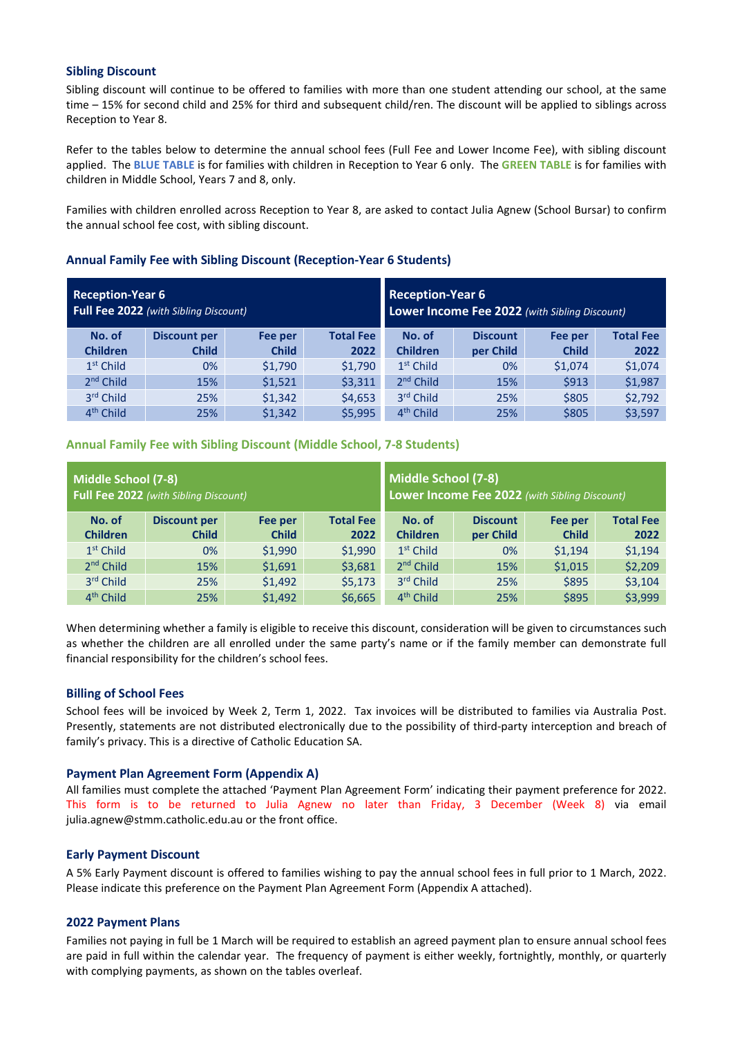#### **Sibling Discount**

Sibling discount will continue to be offered to families with more than one student attending our school, at the same time – 15% for second child and 25% for third and subsequent child/ren. The discount will be applied to siblings across Reception to Year 8.

Refer to the tables below to determine the annual school fees (Full Fee and Lower Income Fee), with sibling discount applied. The **BLUE TABLE** is for families with children in Reception to Year 6 only. The **GREEN TABLE** is for families with children in Middle School, Years 7 and 8, only.

Families with children enrolled across Reception to Year 8, are asked to contact Julia Agnew (School Bursar) to confirm the annual school fee cost, with sibling discount.

## **Annual Family Fee with Sibling Discount (Reception-Year 6 Students)**

| <b>Reception-Year 6</b><br>Full Fee 2022 (with Sibling Discount) |                     |              |                  | <b>Reception-Year 6</b><br>Lower Income Fee 2022 (with Sibling Discount) |           |                  |         |
|------------------------------------------------------------------|---------------------|--------------|------------------|--------------------------------------------------------------------------|-----------|------------------|---------|
| No. of                                                           | <b>Discount per</b> | Fee per      | <b>Total Fee</b> | No. of                                                                   | Fee per   | <b>Total Fee</b> |         |
| <b>Children</b>                                                  | <b>Child</b>        | <b>Child</b> | 2022             | <b>Children</b>                                                          | per Child | <b>Child</b>     | 2022    |
| $1st$ Child                                                      | 0%                  | \$1,790      | \$1,790          | $1st$ Child                                                              | 0%        | \$1,074          | \$1,074 |
| 2 <sup>nd</sup> Child                                            | 15%                 | \$1,521      | \$3,311          | $2nd$ Child                                                              | 15%       | \$913            | \$1,987 |
| 3rd Child                                                        | 25%                 | \$1,342      | \$4,653          | 3rd Child                                                                | 25%       | \$805            | \$2,792 |
| $4th$ Child                                                      | 25%                 | \$1,342      | \$5,995          | 4 <sup>th</sup> Child                                                    | 25%       | \$805            | \$3,597 |

#### **Annual Family Fee with Sibling Discount (Middle School, 7-8 Students)**

| Middle School (7-8)<br>Full Fee 2022 (with Sibling Discount) |                     |              |                  | Middle School (7-8)<br>Lower Income Fee 2022 (with Sibling Discount) |                  |              |         |
|--------------------------------------------------------------|---------------------|--------------|------------------|----------------------------------------------------------------------|------------------|--------------|---------|
| No. of                                                       | <b>Discount per</b> | Fee per      | <b>Total Fee</b> | No. of                                                               | <b>Total Fee</b> |              |         |
| <b>Children</b>                                              | <b>Child</b>        | <b>Child</b> | 2022             | <b>Children</b>                                                      | per Child        | <b>Child</b> | 2022    |
| $1st$ Child                                                  | 0%                  | \$1,990      | \$1,990          | $1st$ Child                                                          | 0%               | \$1,194      | \$1,194 |
| $2nd$ Child                                                  | 15%                 | \$1,691      | \$3,681          | 2 <sup>nd</sup> Child                                                | 15%              | \$1,015      | \$2,209 |
| 3rd Child                                                    | 25%                 | \$1,492      | \$5,173          | 3rd Child                                                            | 25%              | \$895        | \$3,104 |
| 4 <sup>th</sup> Child                                        | 25%                 | \$1,492      | \$6,665          | 4 <sup>th</sup> Child                                                | 25%              | \$895        | \$3,999 |

When determining whether a family is eligible to receive this discount, consideration will be given to circumstances such as whether the children are all enrolled under the same party's name or if the family member can demonstrate full financial responsibility for the children's school fees.

#### **Billing of School Fees**

School fees will be invoiced by Week 2, Term 1, 2022. Tax invoices will be distributed to families via Australia Post. Presently, statements are not distributed electronically due to the possibility of third-party interception and breach of family's privacy. This is a directive of Catholic Education SA.

#### **Payment Plan Agreement Form (Appendix A)**

All families must complete the attached 'Payment Plan Agreement Form' indicating their payment preference for 2022. This form is to be returned to Julia Agnew no later than Friday, 3 December (Week 8) via email julia.agnew@stmm.catholic.edu.au or the front office.

#### **Early Payment Discount**

A 5% Early Payment discount is offered to families wishing to pay the annual school fees in full prior to 1 March, 2022. Please indicate this preference on the Payment Plan Agreement Form (Appendix A attached).

#### **2022 Payment Plans**

Families not paying in full be 1 March will be required to establish an agreed payment plan to ensure annual school fees are paid in full within the calendar year. The frequency of payment is either weekly, fortnightly, monthly, or quarterly with complying payments, as shown on the tables overleaf.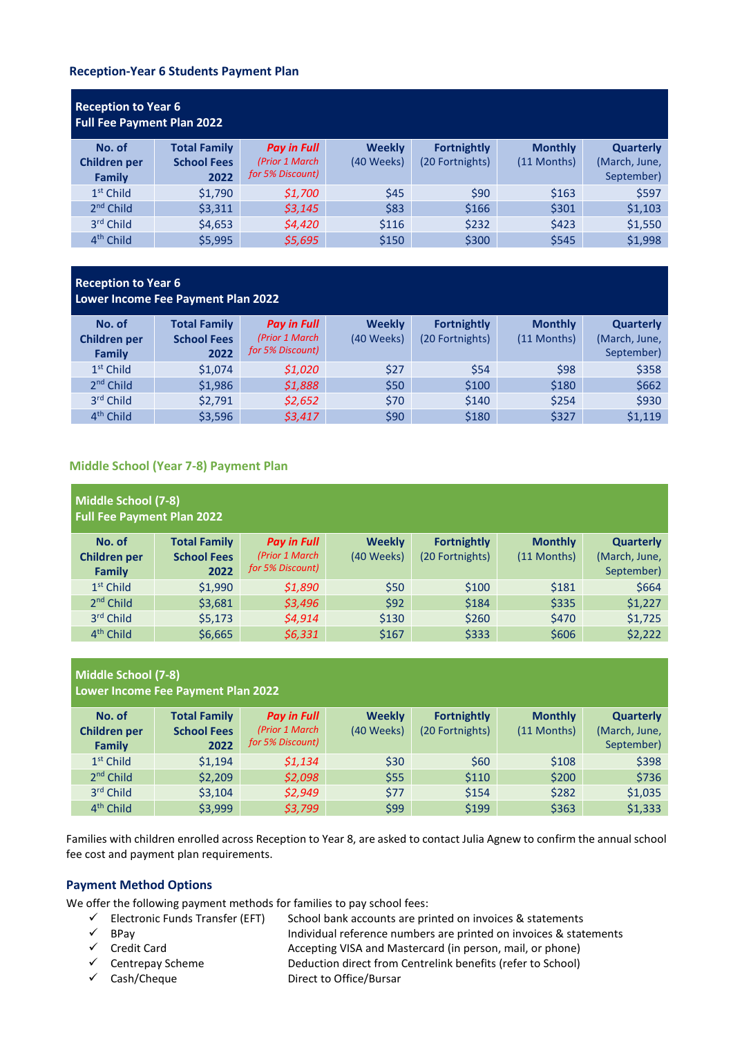#### **Reception-Year 6 Students Payment Plan**

| <b>Reception to Year 6</b><br><b>Full Fee Payment Plan 2022</b> |                                                   |                                                          |                             |                                       |                               |                                          |  |  |
|-----------------------------------------------------------------|---------------------------------------------------|----------------------------------------------------------|-----------------------------|---------------------------------------|-------------------------------|------------------------------------------|--|--|
| No. of<br>Children per<br>Family                                | <b>Total Family</b><br><b>School Fees</b><br>2022 | <b>Pay in Full</b><br>(Prior 1 March<br>for 5% Discount) | <b>Weekly</b><br>(40 Weeks) | <b>Fortnightly</b><br>(20 Fortnights) | <b>Monthly</b><br>(11 Months) | Quarterly<br>(March, June,<br>September) |  |  |
| $1st$ Child                                                     | \$1,790                                           | \$1,700                                                  | \$45                        | \$90                                  | \$163                         | \$597                                    |  |  |
| $2nd$ Child                                                     | \$3,311                                           | 53,145                                                   | \$83                        | \$166                                 | \$301                         | \$1,103                                  |  |  |
| 3rd Child                                                       | \$4,653                                           | \$4,420                                                  | \$116                       | \$232                                 | \$423                         | \$1,550                                  |  |  |
| 4 <sup>th</sup> Child                                           | \$5.995                                           | \$5,695                                                  | \$150                       | \$300                                 | \$545                         | \$1,998                                  |  |  |

# **Reception to Year 6 Lower Income Fee Payment Plan 2022**

| No. of<br><b>Children per</b><br>Family | <b>Total Family</b><br><b>School Fees</b><br>2022 | <b>Pay in Full</b><br>(Prior 1 March<br>for 5% Discount) | <b>Weekly</b><br>(40 Weeks) | <b>Fortnightly</b><br>(20 Fortnights) | <b>Monthly</b><br>$(11$ Months) | <b>Quarterly</b><br>(March, June,<br>September) |
|-----------------------------------------|---------------------------------------------------|----------------------------------------------------------|-----------------------------|---------------------------------------|---------------------------------|-------------------------------------------------|
| $1st$ Child                             | \$1,074                                           | \$1,020                                                  | \$27                        | \$54                                  | \$98                            | \$358                                           |
| $2nd$ Child                             | \$1,986                                           | \$1,888                                                  | \$50                        | \$100                                 | \$180                           | \$662                                           |
| 3rd Child                               | \$2,791                                           | \$2,652                                                  | \$70                        | \$140                                 | \$254                           | \$930                                           |
| 4 <sup>th</sup> Child                   | \$3,596                                           | \$3,417                                                  | \$90                        | \$180                                 | \$327                           | \$1,119                                         |

# **Middle School (Year 7-8) Payment Plan**

| Middle School (7-8)<br><b>Full Fee Payment Plan 2022</b> |                     |                    |               |                    |                |                  |  |
|----------------------------------------------------------|---------------------|--------------------|---------------|--------------------|----------------|------------------|--|
| No. of                                                   | <b>Total Family</b> | <b>Pay in Full</b> | <b>Weekly</b> | <b>Fortnightly</b> | <b>Monthly</b> | <b>Quarterly</b> |  |
| <b>Children per</b>                                      | <b>School Fees</b>  | (Prior 1 March     | (40 Weeks)    | (20 Fortnights)    | (11 Months)    | (March, June,    |  |
| Family                                                   | 2022                | for 5% Discount)   |               |                    |                | September)       |  |
| $1st$ Child                                              | \$1,990             | \$1,890            | \$50          | \$100              | \$181          | \$664            |  |
| $2nd$ Child                                              | \$3,681             | \$3,496            | \$92          | \$184              | \$335          | \$1,227          |  |
| $3rd$ Child                                              | \$5,173             | \$4,914            | \$130         | \$260              | \$470          | \$1,725          |  |
| 4 <sup>th</sup> Child                                    | \$6,665             | \$6,331            | \$167         | \$333              | \$606          | \$2,222          |  |

# **Middle School (7-8) Lower Income Fee Payment Plan 2022**

| No. of<br><b>Children per</b><br>Family | <b>Total Family</b><br><b>School Fees</b><br>2022 | <b>Pay in Full</b><br>(Prior 1 March<br>for 5% Discount) | <b>Weekly</b><br>(40 Weeks) | <b>Fortnightly</b><br>(20 Fortnights) | <b>Monthly</b><br>(11 Months) | <b>Quarterly</b><br>(March, June,<br>September) |
|-----------------------------------------|---------------------------------------------------|----------------------------------------------------------|-----------------------------|---------------------------------------|-------------------------------|-------------------------------------------------|
| $1st$ Child                             | \$1.194                                           | \$1,134                                                  | \$30                        | \$60                                  | \$108                         | \$398                                           |
| $2nd$ Child                             | \$2,209                                           | \$2,098                                                  | \$55                        | \$110                                 | \$200                         | \$736                                           |
| 3rd Child                               | \$3,104                                           | \$2,949                                                  | \$77                        | \$154                                 | \$282                         | \$1,035                                         |
| 4 <sup>th</sup> Child                   | \$3,999                                           | \$3,799                                                  | \$99                        | \$199                                 | \$363                         | \$1,333                                         |

Families with children enrolled across Reception to Year 8, are asked to contact Julia Agnew to confirm the annual school fee cost and payment plan requirements.

# **Payment Method Options**

- We offer the following payment methods for families to pay school fees:<br>  $\checkmark$  Electronic Funds Transfer (EFT) School bank accounts are pri<br>  $\checkmark$  BPay Individual reference number School bank accounts are printed on invoices & statements
	-
	-
	-
	-
	- Individual reference numbers are printed on invoices & statements  $\checkmark$  Credit Card  $\checkmark$  Credit Card  $\checkmark$  Accepting VISA and Mastercard (in person, mail, or phone)
	- $\checkmark$  Centrepay Scheme Deduction direct from Centrelink benefits (refer to School)
	- Cash/Cheque Direct to Office/Bursar